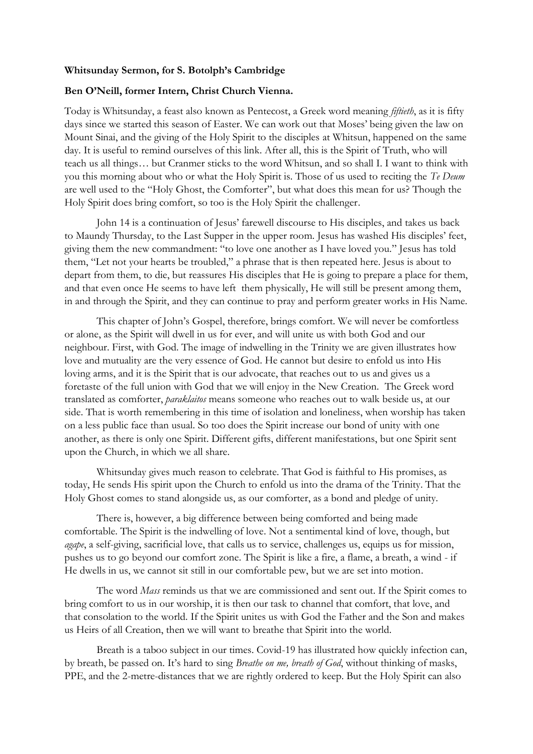## **Whitsunday Sermon, for S. Botolph's Cambridge**

## **Ben O'Neill, former Intern, Christ Church Vienna.**

Today is Whitsunday, a feast also known as Pentecost, a Greek word meaning *fiftieth*, as it is fifty days since we started this season of Easter. We can work out that Moses' being given the law on Mount Sinai, and the giving of the Holy Spirit to the disciples at Whitsun, happened on the same day. It is useful to remind ourselves of this link. After all, this is the Spirit of Truth, who will teach us all things… but Cranmer sticks to the word Whitsun, and so shall I. I want to think with you this morning about who or what the Holy Spirit is. Those of us used to reciting the *Te Deum*  are well used to the "Holy Ghost, the Comforter", but what does this mean for us? Though the Holy Spirit does bring comfort, so too is the Holy Spirit the challenger.

John 14 is a continuation of Jesus' farewell discourse to His disciples, and takes us back to Maundy Thursday, to the Last Supper in the upper room. Jesus has washed His disciples' feet, giving them the new commandment: "to love one another as I have loved you." Jesus has told them, "Let not your hearts be troubled," a phrase that is then repeated here. Jesus is about to depart from them, to die, but reassures His disciples that He is going to prepare a place for them, and that even once He seems to have left them physically, He will still be present among them, in and through the Spirit, and they can continue to pray and perform greater works in His Name.

This chapter of John's Gospel, therefore, brings comfort. We will never be comfortless or alone, as the Spirit will dwell in us for ever, and will unite us with both God and our neighbour. First, with God. The image of indwelling in the Trinity we are given illustrates how love and mutuality are the very essence of God. He cannot but desire to enfold us into His loving arms, and it is the Spirit that is our advocate, that reaches out to us and gives us a foretaste of the full union with God that we will enjoy in the New Creation. The Greek word translated as comforter, *paraklaitos* means someone who reaches out to walk beside us, at our side. That is worth remembering in this time of isolation and loneliness, when worship has taken on a less public face than usual. So too does the Spirit increase our bond of unity with one another, as there is only one Spirit. Different gifts, different manifestations, but one Spirit sent upon the Church, in which we all share.

Whitsunday gives much reason to celebrate. That God is faithful to His promises, as today, He sends His spirit upon the Church to enfold us into the drama of the Trinity. That the Holy Ghost comes to stand alongside us, as our comforter, as a bond and pledge of unity.

There is, however, a big difference between being comforted and being made comfortable. The Spirit is the indwelling of love. Not a sentimental kind of love, though, but *agape*, a self-giving, sacrificial love, that calls us to service, challenges us, equips us for mission, pushes us to go beyond our comfort zone. The Spirit is like a fire, a flame, a breath, a wind - if He dwells in us, we cannot sit still in our comfortable pew, but we are set into motion.

The word *Mass* reminds us that we are commissioned and sent out. If the Spirit comes to bring comfort to us in our worship, it is then our task to channel that comfort, that love, and that consolation to the world. If the Spirit unites us with God the Father and the Son and makes us Heirs of all Creation, then we will want to breathe that Spirit into the world.

Breath is a taboo subject in our times. Covid-19 has illustrated how quickly infection can, by breath, be passed on. It's hard to sing *Breathe on me, breath of God*, without thinking of masks, PPE, and the 2-metre-distances that we are rightly ordered to keep. But the Holy Spirit can also